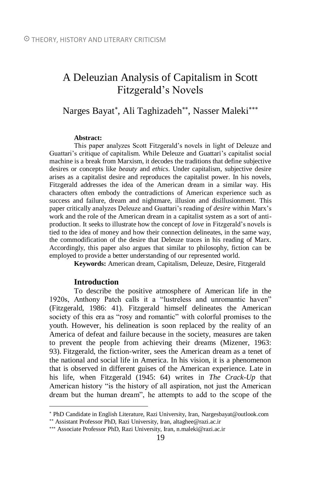# A Deleuzian Analysis of Capitalism in Scott Fitzgerald's Novels

## Narges Bayat\*, Ali Taghizadeh\*\*, Nasser Maleki\*\*\*

#### **Abstract:**

This paper analyzes Scott Fitzgerald's novels in light of Deleuze and Guattari's critique of capitalism. While Deleuze and Guattari's capitalist social machine is a break from Marxism, it decodes the traditions that define subjective desires or concepts like *beauty* and *ethics*. Under capitalism, subjective desire arises as a capitalist desire and reproduces the capitalist power. In his novels, Fitzgerald addresses the idea of the American dream in a similar way. His characters often embody the contradictions of American experience such as success and failure, dream and nightmare, illusion and disillusionment. This paper critically analyzes Deleuze and Guattari's reading of *desire* within Marx's work and the role of the American dream in a capitalist system as a sort of antiproduction. It seeks to illustrate how the concept of *love* in Fitzgerald's novels is tied to the idea of money and how their connection delineates, in the same way, the commodification of the desire that Deleuze traces in his reading of Marx. Accordingly, this paper also argues that similar to philosophy, fiction can be employed to provide a better understanding of our represented world.

**Keywords:** American dream, Capitalism, Deleuze, Desire, Fitzgerald

#### **Introduction**

 $\overline{a}$ 

To describe the positive atmosphere of American life in the 1920s, Anthony Patch calls it a "lustreless and unromantic haven" (Fitzgerald, 1986: 41). Fitzgerald himself delineates the American society of this era as "rosy and romantic" with colorful promises to the youth. However, his delineation is soon replaced by the reality of an America of defeat and failure because in the society, measures are taken to prevent the people from achieving their dreams (Mizener, 1963: 93). Fitzgerald, the fiction-writer, sees the American dream as a tenet of the national and social life in America. In his vision, it is a phenomenon that is observed in different guises of the American experience. Late in his life, when Fitzgerald (1945: 64) writes in *The Crack-Up* that American history "is the history of all aspiration, not just the American dream but the human dream", he attempts to add to the scope of the

PhD Candidate in English Literature, Razi University, Iran[, Nargesbayat@outlook.com](mailto:Nargesbayat@outlook.com) Assistant Professor PhD, Razi University, Iran, altaghee@razi.ac.ir

Associate Professor PhD, Razi University, Iran, n.maleki@razi.ac.ir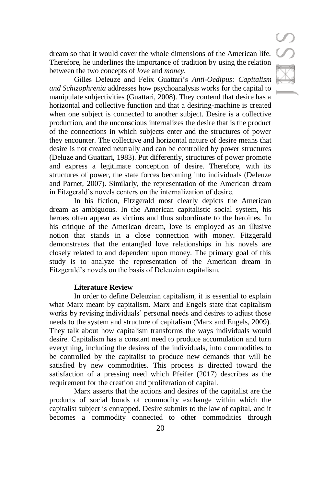dream so that it would cover the whole dimensions of the American life. Therefore, he underlines the importance of tradition by using the relation between the two concepts of *love* and *money*.

Gilles Deleuze and Felix Guattari's *Anti-Oedipus: Capitalism and Schizophrenia* addresses how psychoanalysis works for the capital to manipulate subjectivities (Guattari, 2008). They contend that desire has a horizontal and collective function and that a desiring-machine is created when one subject is connected to another subject. Desire is a collective production, and the unconscious internalizes the desire that is the product of the connections in which subjects enter and the structures of power they encounter. The collective and horizontal nature of desire means that desire is not created neutrally and can be controlled by power structures (Deluze and Guattari, 1983). Put differently, structures of power promote and express a legitimate conception of desire. Therefore, with its structures of power, the state forces becoming into individuals (Deleuze and Parnet, 2007). Similarly, the representation of the American dream in Fitzgerald's novels centers on the internalization of desire.

In his fiction, Fitzgerald most clearly depicts the American dream as ambiguous. In the American capitalistic social system, his heroes often appear as victims and thus subordinate to the heroines. In his critique of the American dream, love is employed as an illusive notion that stands in a close connection with money. Fitzgerald demonstrates that the entangled love relationships in his novels are closely related to and dependent upon money. The primary goal of this study is to analyze the representation of the American dream in Fitzgerald's novels on the basis of Deleuzian capitalism.

## **Literature Review**

In order to define Deleuzian capitalism, it is essential to explain what Marx meant by capitalism. Marx and Engels state that capitalism works by revising individuals' personal needs and desires to adjust those needs to the system and structure of capitalism (Marx and Engels, 2009). They talk about how capitalism transforms the ways individuals would desire. Capitalism has a constant need to produce accumulation and turn everything, including the desires of the individuals, into commodities to be controlled by the capitalist to produce new demands that will be satisfied by new commodities. This process is directed toward the satisfaction of a pressing need which Pfeifer (2017) describes as the requirement for the creation and proliferation of capital.

Marx asserts that the actions and desires of the capitalist are the products of social bonds of commodity exchange within which the capitalist subject is entrapped. Desire submits to the law of capital, and it becomes a commodity connected to other commodities through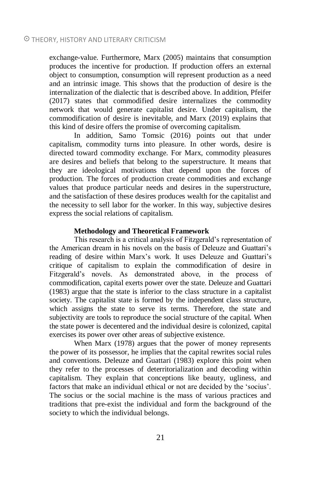exchange-value. Furthermore, Marx (2005) maintains that consumption produces the incentive for production. If production offers an external object to consumption, consumption will represent production as a need and an intrinsic image. This shows that the production of desire is the internalization of the dialectic that is described above. In addition, Pfeifer (2017) states that commodified desire internalizes the commodity network that would generate capitalist desire. Under capitalism, the commodification of desire is inevitable, and Marx (2019) explains that this kind of desire offers the promise of overcoming capitalism.

In addition, Samo Tomsic (2016) points out that under capitalism, commodity turns into pleasure. In other words, desire is directed toward commodity exchange. For Marx, commodity pleasures are desires and beliefs that belong to the superstructure. It means that they are ideological motivations that depend upon the forces of production. The forces of production create commodities and exchange values that produce particular needs and desires in the superstructure, and the satisfaction of these desires produces wealth for the capitalist and the necessity to sell labor for the worker. In this way, subjective desires express the social relations of capitalism.

#### **Methodology and Theoretical Framework**

This research is a critical analysis of Fitzgerald's representation of the American dream in his novels on the basis of Deleuze and Guattari's reading of desire within Marx's work. It uses Deleuze and Guattari's critique of capitalism to explain the commodification of desire in Fitzgerald's novels. As demonstrated above, in the process of commodification, capital exerts power over the state. Deleuze and Guattari (1983) argue that the state is inferior to the class structure in a capitalist society. The capitalist state is formed by the independent class structure, which assigns the state to serve its terms. Therefore, the state and subjectivity are tools to reproduce the social structure of the capital. When the state power is decentered and the individual desire is colonized, capital exercises its power over other areas of subjective existence.

When Marx (1978) argues that the power of money represents the power of its possessor, he implies that the capital rewrites social rules and conventions. Deleuze and Guattari (1983) explore this point when they refer to the processes of deterritorialization and decoding within capitalism. They explain that conceptions like beauty, ugliness, and factors that make an individual ethical or not are decided by the 'socius'. The socius or the social machine is the mass of various practices and traditions that pre-exist the individual and form the background of the society to which the individual belongs.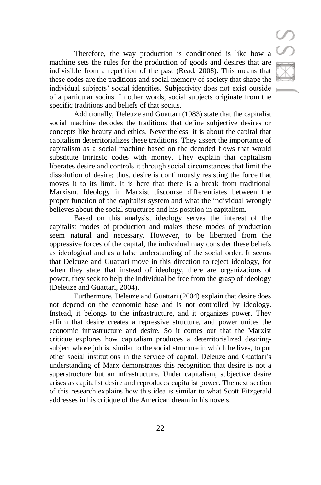Therefore, the way production is conditioned is like how a machine sets the rules for the production of goods and desires that are indivisible from a repetition of the past (Read, 2008). This means that these codes are the traditions and social memory of society that shape the individual subjects' social identities. Subjectivity does not exist outside of a particular socius. In other words, social subjects originate from the specific traditions and beliefs of that socius.

Additionally, Deleuze and Guattari (1983) state that the capitalist social machine decodes the traditions that define subjective desires or concepts like beauty and ethics. Nevertheless, it is about the capital that capitalism deterritorializes these traditions. They assert the importance of capitalism as a social machine based on the decoded flows that would substitute intrinsic codes with money. They explain that capitalism liberates desire and controls it through social circumstances that limit the dissolution of desire; thus, desire is continuously resisting the force that moves it to its limit. It is here that there is a break from traditional Marxism. Ideology in Marxist discourse differentiates between the proper function of the capitalist system and what the individual wrongly believes about the social structures and his position in capitalism.

Based on this analysis, ideology serves the interest of the capitalist modes of production and makes these modes of production seem natural and necessary. However, to be liberated from the oppressive forces of the capital, the individual may consider these beliefs as ideological and as a false understanding of the social order. It seems that Deleuze and Guattari move in this direction to reject ideology, for when they state that instead of ideology, there are organizations of power, they seek to help the individual be free from the grasp of ideology (Deleuze and Guattari, 2004).

Furthermore, Deleuze and Guattari (2004) explain that desire does not depend on the economic base and is not controlled by ideology. Instead, it belongs to the infrastructure, and it organizes power. They affirm that desire creates a repressive structure, and power unites the economic infrastructure and desire. So it comes out that the Marxist critique explores how capitalism produces a deterritorialized desiringsubject whose job is, similar to the social structure in which he lives, to put other social institutions in the service of capital. Deleuze and Guattari's understanding of Marx demonstrates this recognition that desire is not a superstructure but an infrastructure. Under capitalism, subjective desire arises as capitalist desire and reproduces capitalist power. The next section of this research explains how this idea is similar to what Scott Fitzgerald addresses in his critique of the American dream in his novels.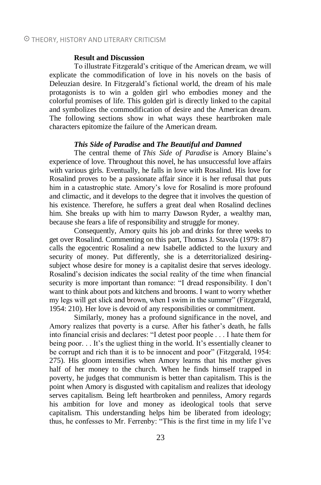#### **Result and Discussion**

To illustrate Fitzgerald's critique of the American dream, we will explicate the commodification of love in his novels on the basis of Deleuzian desire. In Fitzgerald's fictional world, the dream of his male protagonists is to win a golden girl who embodies money and the colorful promises of life. This golden girl is directly linked to the capital and symbolizes the commodification of desire and the American dream. The following sections show in what ways these heartbroken male characters epitomize the failure of the American dream.

#### *This Side of Paradise* **and** *The Beautiful and Damned*

The central theme of *This Side of Paradise* is Amory Blaine's experience of love. Throughout this novel, he has unsuccessful love affairs with various girls. Eventually, he falls in love with Rosalind. His love for Rosalind proves to be a passionate affair since it is her refusal that puts him in a catastrophic state. Amory's love for Rosalind is more profound and climactic, and it develops to the degree that it involves the question of his existence. Therefore, he suffers a great deal when Rosalind declines him. She breaks up with him to marry Dawson Ryder, a wealthy man, because she fears a life of responsibility and struggle for money.

Consequently, Amory quits his job and drinks for three weeks to get over Rosalind. Commenting on this part, Thomas J. Stavola (1979: 87) calls the egocentric Rosalind a new Isabelle addicted to the luxury and security of money. Put differently, she is a deterritorialized desiringsubject whose desire for money is a capitalist desire that serves ideology. Rosalind's decision indicates the social reality of the time when financial security is more important than romance: "I dread responsibility. I don't want to think about pots and kitchens and brooms. I want to worry whether my legs will get slick and brown, when I swim in the summer" (Fitzgerald, 1954: 210). Her love is devoid of any responsibilities or commitment.

Similarly, money has a profound significance in the novel, and Amory realizes that poverty is a curse. After his father's death, he falls into financial crisis and declares: "I detest poor people . . . I hate them for being poor. . . It's the ugliest thing in the world. It's essentially cleaner to be corrupt and rich than it is to be innocent and poor" (Fitzgerald, 1954: 275). His gloom intensifies when Amory learns that his mother gives half of her money to the church. When he finds himself trapped in poverty, he judges that communism is better than capitalism. This is the point when Amory is disgusted with capitalism and realizes that ideology serves capitalism. Being left heartbroken and penniless, Amory regards his ambition for love and money as ideological tools that serve capitalism. This understanding helps him be liberated from ideology; thus, he confesses to Mr. Ferrenby: "This is the first time in my life I've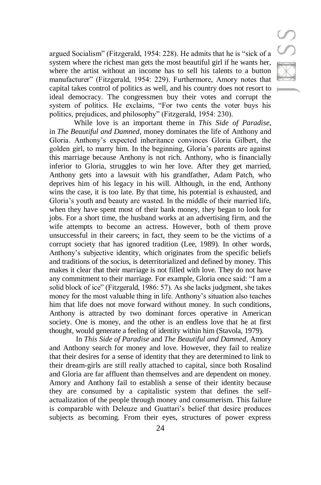argued Socialism" (Fitzgerald, 1954: 228). He admits that he is "sick of a system where the richest man gets the most beautiful girl if he wants her, where the artist without an income has to sell his talents to a button manufacturer" (Fitzgerald, 1954: 229). Furthermore, Amory notes that capital takes control of politics as well, and his country does not resort to ideal democracy. The congressmen buy their votes and corrupt the system of politics. He exclaims, "For two cents the voter buys his politics, prejudices, and philosophy" (Fitzgerald, 1954: 230).

While love is an important theme in *This Side of Paradise*, in *The Beautiful and Damned*, money dominates the life of Anthony and Gloria. Anthony's expected inheritance convinces Gloria Gilbert, the golden girl, to marry him. In the beginning, Gloria's parents are against this marriage because Anthony is not rich. Anthony, who is financially inferior to Gloria, struggles to win her love. After they get married, Anthony gets into a lawsuit with his grandfather, Adam Patch, who deprives him of his legacy in his will. Although, in the end, Anthony wins the case, it is too late. By that time, his potential is exhausted, and Gloria's youth and beauty are wasted. In the middle of their married life, when they have spent most of their bank money, they began to look for jobs. For a short time, the husband works at an advertising firm, and the wife attempts to become an actress. However, both of them prove unsuccessful in their careers; in fact, they seem to be the victims of a corrupt society that has ignored tradition (Lee, 1989). In other words, Anthony's subjective identity, which originates from the specific beliefs and traditions of the socius, is deterritorialized and defined by money. This makes it clear that their marriage is not filled with love. They do not have any commitment to their marriage. For example, Gloria once said: "I am a solid block of ice" (Fitzgerald, 1986: 57). As she lacks judgment, she takes money for the most valuable thing in life. Anthony's situation also teaches him that life does not move forward without money. In such conditions, Anthony is attracted by two dominant forces operative in American society. One is money, and the other is an endless love that he at first thought, would generate a feeling of identity within him (Stavola, 1979).

In *This Side of Paradise* and *The Beautiful and Damned*, Amory and Anthony search for money and love. However, they fail to realize that their desires for a sense of identity that they are determined to link to their dream-girls are still really attached to capital, since both Rosalind and Gloria are far affluent than themselves and are dependent on money. Amory and Anthony fail to establish a sense of their identity because they are consumed by a capitalistic system that defines the selfactualization of the people through money and consumerism. This failure is comparable with Deleuze and Guattari's belief that desire produces subjects as becoming. From their eyes, structures of power express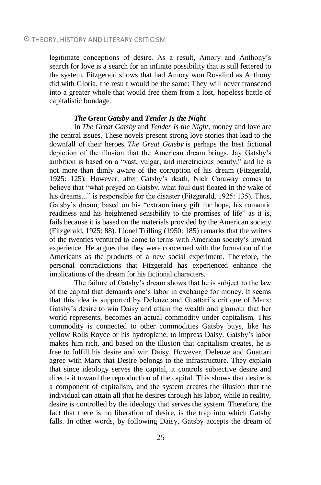legitimate conceptions of desire. As a result, Amory and Anthony's search for love is a search for an infinite possibility that is still fettered to the system. Fitzgerald shows that had Amory won Rosalind as Anthony did with Gloria, the result would be the same: They will never transcend into a greater whole that would free them from a lost, hopeless battle of capitalistic bondage.

## *The Great Gatsby* **and** *Tender Is the Night*

In *The Great Gatsby* and *Tender Is the Night*, money and love are the central issues. These novels present strong love stories that lead to the downfall of their heroes. *The Great Gatsby* is perhaps the best fictional depiction of the illusion that the American dream brings. Jay Gatsby's ambition is based on a "vast, vulgar, and meretricious beauty," and he is not more than dimly aware of the corruption of his dream (Fitzgerald, 1925: 125). However, after Gatsby's death, Nick Caraway comes to believe that "what preyed on Gatsby, what foul dust floated in the wake of his dreams..." is responsible for the disaster (Fitzgerald, 1925: 135). Thus, Gatsby's dream, based on his "extraordinary gift for hope, his romantic readiness and his heightened sensibility to the promises of life" as it is, fails because it is based on the materials provided by the American society (Fitzgerald, 1925: 88). Lionel Trilling (1950: 185) remarks that the writers of the twenties ventured to come to terms with American society's inward experience. He argues that they were concerned with the formation of the Americans as the products of a new social experiment. Therefore, the personal contradictions that Fitzgerald has experienced enhance the implications of the dream for his fictional characters.

The failure of Gatsby's dream shows that he is subject to the law of the capital that demands one's labor in exchange for money. It seems that this idea is supported by Deleuze and Guattari's critique of Marx: Gatsby's desire to win Daisy and attain the wealth and glamour that her world represents, becomes an actual commodity under capitalism. This commodity is connected to other commodities Gatsby buys, like his yellow Rolls Royce or his hydroplane, to impress Daisy. Gatsby's labor makes him rich, and based on the illusion that capitalism creates, he is free to fulfill his desire and win Daisy. However, Deleuze and Guattari agree with Marx that Desire belongs to the infrastructure. They explain that since ideology serves the capital, it controls subjective desire and directs it toward the reproduction of the capital. This shows that desire is a component of capitalism, and the system creates the illusion that the individual can attain all that he desires through his labor, while in reality, desire is controlled by the ideology that serves the system. Therefore, the fact that there is no liberation of desire, is the trap into which Gatsby falls. In other words, by following Daisy, Gatsby accepts the dream of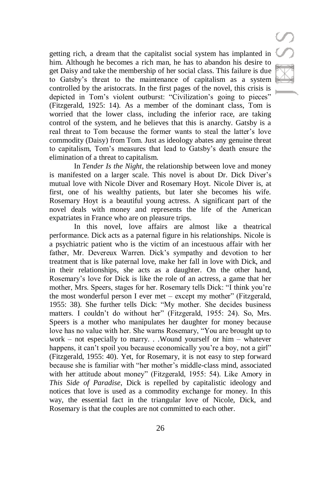getting rich, a dream that the capitalist social system has implanted in him. Although he becomes a rich man, he has to abandon his desire to get Daisy and take the membership of her social class. This failure is due to Gatsby's threat to the maintenance of capitalism as a system controlled by the aristocrats. In the first pages of the novel, this crisis is depicted in Tom's violent outburst: "Civilization's going to pieces" (Fitzgerald, 1925: 14). As a member of the dominant class, Tom is worried that the lower class, including the inferior race, are taking control of the system, and he believes that this is anarchy. Gatsby is a real threat to Tom because the former wants to steal the latter's love commodity (Daisy) from Tom. Just as ideology abates any genuine threat to capitalism, Tom's measures that lead to Gatsby's death ensure the elimination of a threat to capitalism.

In *Tender Is the Night*, the relationship between love and money is manifested on a larger scale. This novel is about Dr. Dick Diver's mutual love with Nicole Diver and Rosemary Hoyt. Nicole Diver is, at first, one of his wealthy patients, but later she becomes his wife. Rosemary Hoyt is a beautiful young actress. A significant part of the novel deals with money and represents the life of the American expatriates in France who are on pleasure trips.

In this novel, love affairs are almost like a theatrical performance. Dick acts as a paternal figure in his relationships. Nicole is a psychiatric patient who is the victim of an incestuous affair with her father, Mr. Devereux Warren. Dick's sympathy and devotion to her treatment that is like paternal love, make her fall in love with Dick, and in their relationships, she acts as a daughter. On the other hand, Rosemary's love for Dick is like the role of an actress, a game that her mother, Mrs. Speers, stages for her. Rosemary tells Dick: "I think you're the most wonderful person I ever met – except my mother" (Fitzgerald, 1955: 38). She further tells Dick: "My mother. She decides business matters. I couldn't do without her" (Fitzgerald, 1955: 24). So, Mrs. Speers is a mother who manipulates her daughter for money because love has no value with her. She warns Rosemary, "You are brought up to work – not especially to marry. . .Wound yourself or him – whatever happens, it can't spoil you because economically you're a boy, not a girl" (Fitzgerald, 1955: 40). Yet, for Rosemary, it is not easy to step forward because she is familiar with "her mother's middle-class mind, associated with her attitude about money" (Fitzgerald, 1955: 54). Like Amory in *This Side of Paradise*, Dick is repelled by capitalistic ideology and notices that love is used as a commodity exchange for money. In this way, the essential fact in the triangular love of Nicole, Dick, and Rosemary is that the couples are not committed to each other.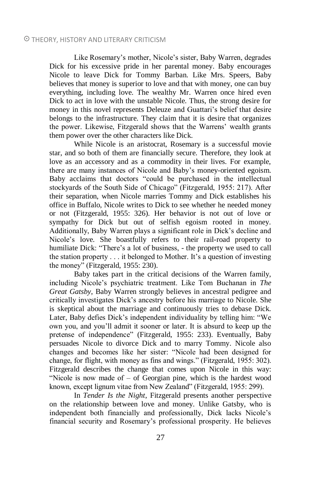Like Rosemary's mother, Nicole's sister, Baby Warren, degrades Dick for his excessive pride in her parental money. Baby encourages Nicole to leave Dick for Tommy Barban. Like Mrs. Speers, Baby believes that money is superior to love and that with money, one can buy everything, including love. The wealthy Mr. Warren once hired even Dick to act in love with the unstable Nicole. Thus, the strong desire for money in this novel represents Deleuze and Guattari's belief that desire belongs to the infrastructure. They claim that it is desire that organizes the power. Likewise, Fitzgerald shows that the Warrens' wealth grants them power over the other characters like Dick.

While Nicole is an aristocrat, Rosemary is a successful movie star, and so both of them are financially secure. Therefore, they look at love as an accessory and as a commodity in their lives. For example, there are many instances of Nicole and Baby's money-oriented egoism. Baby acclaims that doctors "could be purchased in the intellectual stockyards of the South Side of Chicago" (Fitzgerald, 1955: 217). After their separation, when Nicole marries Tommy and Dick establishes his office in Buffalo, Nicole writes to Dick to see whether he needed money or not (Fitzgerald, 1955: 326). Her behavior is not out of love or sympathy for Dick but out of selfish egoism rooted in money. Additionally, Baby Warren plays a significant role in Dick's decline and Nicole's love. She boastfully refers to their rail-road property to humiliate Dick: "There's a lot of business, - the property we used to call the station property . . . it belonged to Mother. It's a question of investing the money" (Fitzgerald, 1955: 230).

Baby takes part in the critical decisions of the Warren family, including Nicole's psychiatric treatment. Like Tom Buchanan in *The Great Gatsby*, Baby Warren strongly believes in ancestral pedigree and critically investigates Dick's ancestry before his marriage to Nicole. She is skeptical about the marriage and continuously tries to debase Dick. Later, Baby defies Dick's independent individuality by telling him: "We own you, and you'll admit it sooner or later. It is absurd to keep up the pretense of independence" (Fitzgerald, 1955: 233). Eventually, Baby persuades Nicole to divorce Dick and to marry Tommy. Nicole also changes and becomes like her sister: "Nicole had been designed for change, for flight, with money as fins and wings." (Fitzgerald, 1955: 302). Fitzgerald describes the change that comes upon Nicole in this way: "Nicole is now made of – of Georgian pine, which is the hardest wood known, except lignum vitae from New Zealand" (Fitzgerald, 1955: 299).

In *Tender Is the Night*, Fitzgerald presents another perspective on the relationship between love and money. Unlike Gatsby, who is independent both financially and professionally, Dick lacks Nicole's financial security and Rosemary's professional prosperity. He believes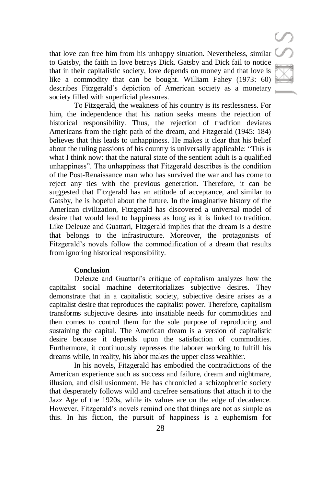that love can free him from his unhappy situation. Nevertheless, similar to Gatsby, the faith in love betrays Dick. Gatsby and Dick fail to notice that in their capitalistic society, love depends on money and that love is like a commodity that can be bought. William Fahey (1973: 60) describes Fitzgerald's depiction of American society as a monetary society filled with superficial pleasures.

To Fitzgerald, the weakness of his country is its restlessness. For him, the independence that his nation seeks means the rejection of historical responsibility. Thus, the rejection of tradition deviates Americans from the right path of the dream, and Fitzgerald (1945: 184) believes that this leads to unhappiness. He makes it clear that his belief about the ruling passions of his country is universally applicable: "This is what I think now: that the natural state of the sentient adult is a qualified unhappiness". The unhappiness that Fitzgerald describes is the condition of the Post-Renaissance man who has survived the war and has come to reject any ties with the previous generation. Therefore, it can be suggested that Fitzgerald has an attitude of acceptance, and similar to Gatsby, he is hopeful about the future. In the imaginative history of the American civilization, Fitzgerald has discovered a universal model of desire that would lead to happiness as long as it is linked to tradition. Like Deleuze and Guattari, Fitzgerald implies that the dream is a desire that belongs to the infrastructure. Moreover, the protagonists of Fitzgerald's novels follow the commodification of a dream that results from ignoring historical responsibility.

#### **Conclusion**

Deleuze and Guattari's critique of capitalism analyzes how the capitalist social machine deterritorializes subjective desires. They demonstrate that in a capitalistic society, subjective desire arises as a capitalist desire that reproduces the capitalist power. Therefore, capitalism transforms subjective desires into insatiable needs for commodities and then comes to control them for the sole purpose of reproducing and sustaining the capital. The American dream is a version of capitalistic desire because it depends upon the satisfaction of commodities. Furthermore, it continuously represses the laborer working to fulfill his dreams while, in reality, his labor makes the upper class wealthier.

In his novels, Fitzgerald has embodied the contradictions of the American experience such as success and failure, dream and nightmare, illusion, and disillusionment. He has chronicled a schizophrenic society that desperately follows wild and carefree sensations that attach it to the Jazz Age of the 1920s, while its values are on the edge of decadence. However, Fitzgerald's novels remind one that things are not as simple as this. In his fiction, the pursuit of happiness is a euphemism for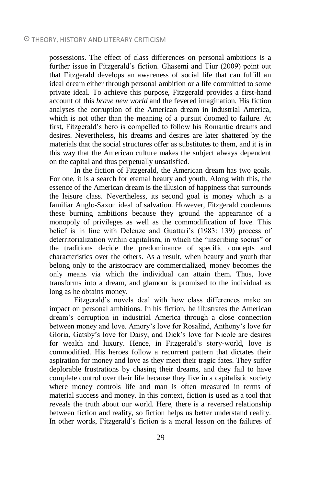possessions. The effect of class differences on personal ambitions is a further issue in Fitzgerald's fiction. Ghasemi and Tiur (2009) point out that Fitzgerald develops an awareness of social life that can fulfill an ideal dream either through personal ambition or a life committed to some private ideal. To achieve this purpose, Fitzgerald provides a first-hand account of this *brave new world* and the fevered imagination. His fiction analyses the corruption of the American dream in industrial America, which is not other than the meaning of a pursuit doomed to failure. At first, Fitzgerald's hero is compelled to follow his Romantic dreams and desires. Nevertheless, his dreams and desires are later shattered by the materials that the social structures offer as substitutes to them, and it is in this way that the American culture makes the subject always dependent on the capital and thus perpetually unsatisfied.

In the fiction of Fitzgerald, the American dream has two goals. For one, it is a search for eternal beauty and youth. Along with this, the essence of the American dream is the illusion of happiness that surrounds the leisure class. Nevertheless, its second goal is money which is a familiar Anglo-Saxon ideal of salvation. However, Fitzgerald condemns these burning ambitions because they ground the appearance of a monopoly of privileges as well as the commodification of love. This belief is in line with Deleuze and Guattari's (1983: 139) process of deterritorialization within capitalism, in which the "inscribing socius" or the traditions decide the predominance of specific concepts and characteristics over the others. As a result, when beauty and youth that belong only to the aristocracy are commercialized, money becomes the only means via which the individual can attain them. Thus, love transforms into a dream, and glamour is promised to the individual as long as he obtains money.

Fitzgerald's novels deal with how class differences make an impact on personal ambitions. In his fiction, he illustrates the American dream's corruption in industrial America through a close connection between money and love. Amory's love for Rosalind, Anthony's love for Gloria, Gatsby's love for Daisy, and Dick's love for Nicole are desires for wealth and luxury. Hence, in Fitzgerald's story-world, love is commodified. His heroes follow a recurrent pattern that dictates their aspiration for money and love as they meet their tragic fates. They suffer deplorable frustrations by chasing their dreams, and they fail to have complete control over their life because they live in a capitalistic society where money controls life and man is often measured in terms of material success and money. In this context, fiction is used as a tool that reveals the truth about our world. Here, there is a reversed relationship between fiction and reality, so fiction helps us better understand reality. In other words, Fitzgerald's fiction is a moral lesson on the failures of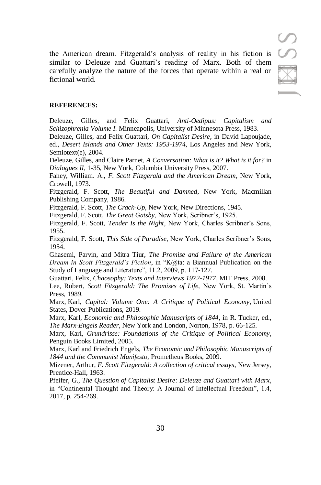the American dream. Fitzgerald's analysis of reality in his fiction is similar to Deleuze and Guattari's reading of Marx. Both of them carefully analyze the nature of the forces that operate within a real or fictional world.

#### **REFERENCES:**

Deleuze, Gilles, and Felix Guattari, *Anti-Oedipus: Capitalism and Schizophrenia Volume I.* Minneapolis, University of Minnesota Press, 1983.

Deleuze, Gilles, and Felix Guattari, *On Capitalist Desire*, in David Lapoujade, ed., *Desert Islands and Other Texts: 1953-1974*, Los Angeles and New York, Semiotext(e), 2004.

Deleuze, Gilles, and Claire Parnet, *A Conversation: What is it? What is it for?* in *Dialogues II,* 1-35, New York, Columbia University Press, 2007.

Fahey, William. A., *F. Scott Fitzgerald and the American Dream*, New York, Crowell, 1973.

Fitzgerald, F. Scott, *The Beautiful and Damned*, New York, Macmillan Publishing Company, 1986.

Fitzgerald, F. Scott, *The Crack-Up*, New York, New Directions, 1945.

Fitzgerald, F. Scott, *The Great Gatsby*, New York, Scribner's, 1925.

Fitzgerald, F. Scott, *Tender Is the Night*, New York, Charles Scribner's Sons, 1955.

Fitzgerald, F. Scott, *This Side of Paradise*, New York, Charles Scribner's Sons, 1954.

Ghasemi, Parvin, and Mitra Tiur, *The Promise and Failure of the American Dream in Scott Fitzgerald's Fiction*, in "K@ta: a Biannual Publication on the Study of Language and Literature", 11.2, 2009, p. 117-127.

Guattari, Felix, *Chaosophy: Texts and Interviews 1972-1977*, MIT Press, 2008.

Lee, Robert, *Scott Fitzgerald: The Promises of Life,* New York, St. Martin's Press, 1989.

Marx, Karl, *Capital: Volume One: A Critique of Political Economy*, United States, Dover Publications, 2019.

Marx, Karl, *Economic and Philosophic Manuscripts of 1844*, in R. Tucker, ed., *The Marx-Engels Reader*, New York and London, Norton, 1978, p. 66-125.

Marx, Karl, *Grundrisse: Foundations of the Critique of Political Economy*, Penguin Books Limited, 2005.

Marx, Karl and Friedrich Engels, *The Economic and Philosophic Manuscripts of 1844 and the Communist Manifesto*, Prometheus Books, 2009.

Mizener, Arthur, *F. Scott Fitzgerald: A collection of critical essays*, New Jersey, Prentice-Hall, 1963.

Pfeifer, G., *The Question of Capitalist Desire: Deleuze and Guattari with Marx*, in "Continental Thought and Theory: A Journal of Intellectual Freedom", 1.4, 2017, p. 254-269.